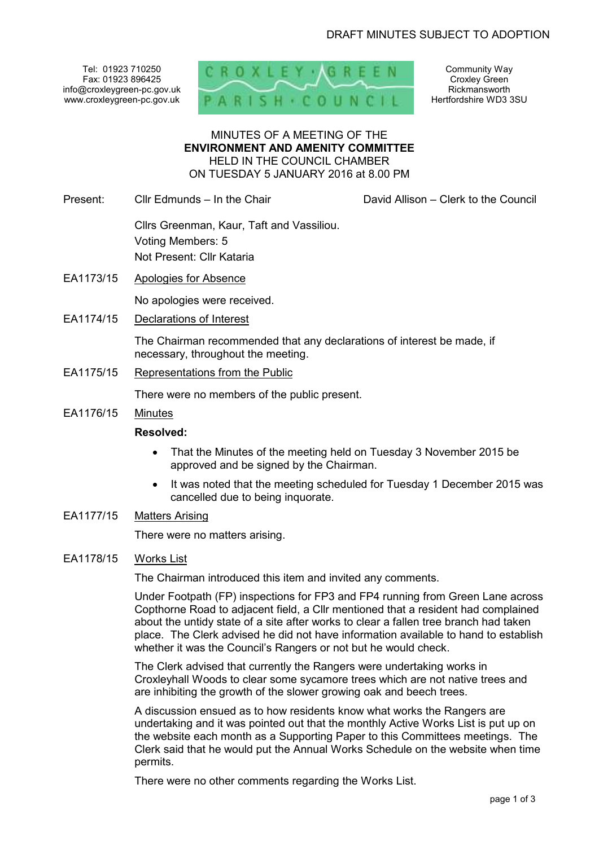Tel: 01923 710250 Fax: 01923 896425 info@croxleygreen-pc.gov.uk www.croxleygreen-pc.gov.uk



Community Way Croxley Green Rickmansworth Hertfordshire WD3 3SU

#### MINUTES OF A MEETING OF THE **ENVIRONMENT AND AMENITY COMMITTEE** HELD IN THE COUNCIL CHAMBER ON TUESDAY 5 JANUARY 2016 at 8.00 PM

Present: Cllr Edmunds – In the Chair David Allison – Clerk to the Council

# Cllrs Greenman, Kaur, Taft and Vassiliou. Voting Members: 5 Not Present: Cllr Kataria

EA1173/15 Apologies for Absence

No apologies were received.

EA1174/15 Declarations of Interest

The Chairman recommended that any declarations of interest be made, if necessary, throughout the meeting.

EA1175/15 Representations from the Public

There were no members of the public present.

EA1176/15 Minutes

## **Resolved:**

- That the Minutes of the meeting held on Tuesday 3 November 2015 be approved and be signed by the Chairman.
- It was noted that the meeting scheduled for Tuesday 1 December 2015 was cancelled due to being inquorate.

## EA1177/15 Matters Arising

There were no matters arising.

## EA1178/15 Works List

The Chairman introduced this item and invited any comments.

Under Footpath (FP) inspections for FP3 and FP4 running from Green Lane across Copthorne Road to adjacent field, a Cllr mentioned that a resident had complained about the untidy state of a site after works to clear a fallen tree branch had taken place. The Clerk advised he did not have information available to hand to establish whether it was the Council's Rangers or not but he would check.

The Clerk advised that currently the Rangers were undertaking works in Croxleyhall Woods to clear some sycamore trees which are not native trees and are inhibiting the growth of the slower growing oak and beech trees.

A discussion ensued as to how residents know what works the Rangers are undertaking and it was pointed out that the monthly Active Works List is put up on the website each month as a Supporting Paper to this Committees meetings. The Clerk said that he would put the Annual Works Schedule on the website when time permits.

There were no other comments regarding the Works List.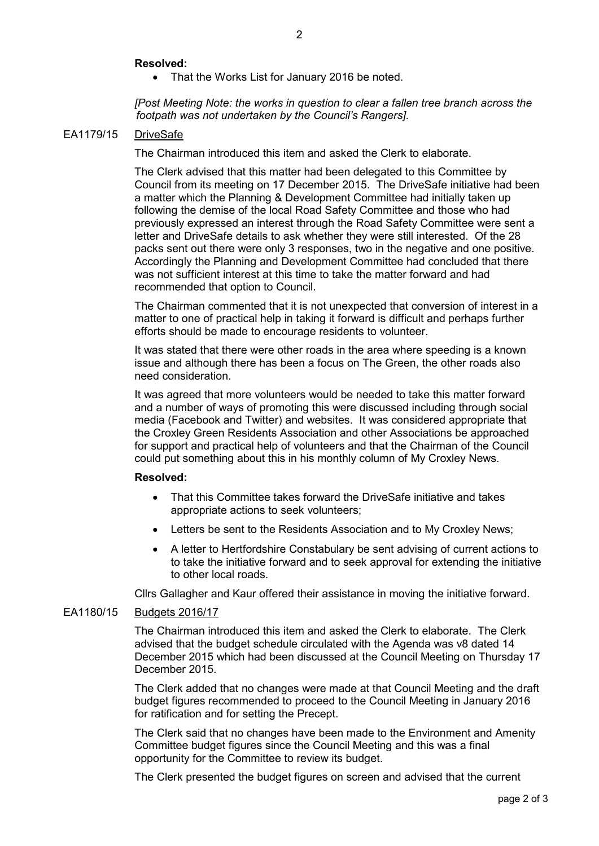#### **Resolved:**

• That the Works List for January 2016 be noted.

*[Post Meeting Note: the works in question to clear a fallen tree branch across the footpath was not undertaken by the Council's Rangers].* 

#### EA1179/15 DriveSafe

The Chairman introduced this item and asked the Clerk to elaborate.

The Clerk advised that this matter had been delegated to this Committee by Council from its meeting on 17 December 2015. The DriveSafe initiative had been a matter which the Planning & Development Committee had initially taken up following the demise of the local Road Safety Committee and those who had previously expressed an interest through the Road Safety Committee were sent a letter and DriveSafe details to ask whether they were still interested. Of the 28 packs sent out there were only 3 responses, two in the negative and one positive. Accordingly the Planning and Development Committee had concluded that there was not sufficient interest at this time to take the matter forward and had recommended that option to Council.

The Chairman commented that it is not unexpected that conversion of interest in a matter to one of practical help in taking it forward is difficult and perhaps further efforts should be made to encourage residents to volunteer.

It was stated that there were other roads in the area where speeding is a known issue and although there has been a focus on The Green, the other roads also need consideration.

It was agreed that more volunteers would be needed to take this matter forward and a number of ways of promoting this were discussed including through social media (Facebook and Twitter) and websites. It was considered appropriate that the Croxley Green Residents Association and other Associations be approached for support and practical help of volunteers and that the Chairman of the Council could put something about this in his monthly column of My Croxley News.

#### **Resolved:**

- That this Committee takes forward the DriveSafe initiative and takes appropriate actions to seek volunteers;
- Letters be sent to the Residents Association and to My Croxley News;
- A letter to Hertfordshire Constabulary be sent advising of current actions to to take the initiative forward and to seek approval for extending the initiative to other local roads.

Cllrs Gallagher and Kaur offered their assistance in moving the initiative forward.

#### EA1180/15 Budgets 2016/17

The Chairman introduced this item and asked the Clerk to elaborate. The Clerk advised that the budget schedule circulated with the Agenda was v8 dated 14 December 2015 which had been discussed at the Council Meeting on Thursday 17 December 2015.

The Clerk added that no changes were made at that Council Meeting and the draft budget figures recommended to proceed to the Council Meeting in January 2016 for ratification and for setting the Precept.

The Clerk said that no changes have been made to the Environment and Amenity Committee budget figures since the Council Meeting and this was a final opportunity for the Committee to review its budget.

The Clerk presented the budget figures on screen and advised that the current